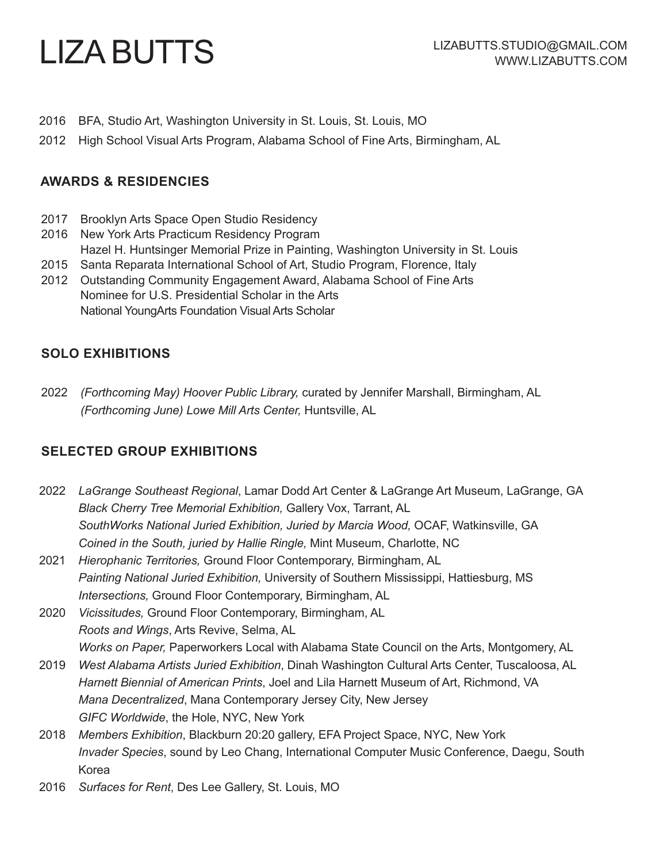# LIZA BUTTS

- 2016 BFA, Studio Art, Washington University in St. Louis, St. Louis, MO
- 2012 High School Visual Arts Program, Alabama School of Fine Arts, Birmingham, AL

#### **AWARDS & RESIDENCIES**

- 2017 Brooklyn Arts Space Open Studio Residency
- 2016 New York Arts Practicum Residency Program Hazel H. Huntsinger Memorial Prize in Painting, Washington University in St. Louis
- 2015 Santa Reparata International School of Art, Studio Program, Florence, Italy
- 2012 Outstanding Community Engagement Award, Alabama School of Fine Arts Nominee for U.S. Presidential Scholar in the Arts National YoungArts Foundation Visual Arts Scholar

## **SOLO EXHIBITIONS**

2022 *(Forthcoming May) Hoover Public Library,* curated by Jennifer Marshall, Birmingham, AL *(Forthcoming June) Lowe Mill Arts Center,* Huntsville, AL

## **SELECTED GROUP EXHIBITIONS**

- 2022 *LaGrange Southeast Regional*, Lamar Dodd Art Center & LaGrange Art Museum, LaGrange, GA *Black Cherry Tree Memorial Exhibition,* Gallery Vox, Tarrant, AL *SouthWorks National Juried Exhibition, Juried by Marcia Wood,* OCAF, Watkinsville, GA *Coined in the South, juried by Hallie Ringle,* Mint Museum, Charlotte, NC
- 2021 *Hierophanic Territories,* Ground Floor Contemporary, Birmingham, AL *Painting National Juried Exhibition,* University of Southern Mississippi, Hattiesburg, MS *Intersections,* Ground Floor Contemporary, Birmingham, AL
- 2020 *Vicissitudes,* Ground Floor Contemporary, Birmingham, AL *Roots and Wings*, Arts Revive, Selma, AL *Works on Paper,* Paperworkers Local with Alabama State Council on the Arts, Montgomery, AL
- 2019 *West Alabama Artists Juried Exhibition*, Dinah Washington Cultural Arts Center, Tuscaloosa, AL *Harnett Biennial of American Prints*, Joel and Lila Harnett Museum of Art, Richmond, VA *Mana Decentralized*, Mana Contemporary Jersey City, New Jersey *GIFC Worldwide*, the Hole, NYC, New York
- 2018 *Members Exhibition*, Blackburn 20:20 gallery, EFA Project Space, NYC, New York *Invader Species*, sound by Leo Chang, International Computer Music Conference, Daegu, South Korea
- 2016 *Surfaces for Rent*, Des Lee Gallery, St. Louis, MO